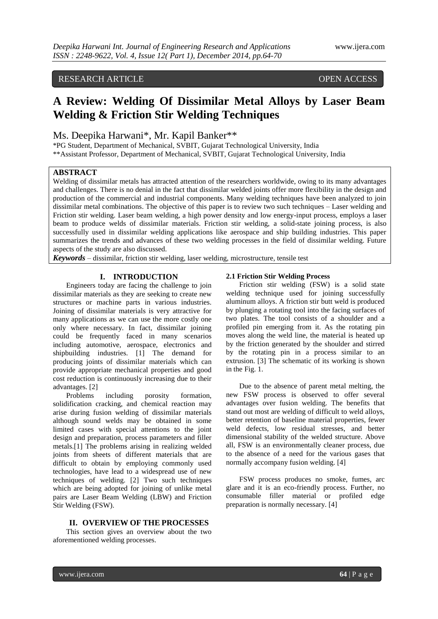# RESEARCH ARTICLE OPEN ACCESS

# **A Review: Welding Of Dissimilar Metal Alloys by Laser Beam Welding & Friction Stir Welding Techniques**

## Ms. Deepika Harwani\*, Mr. Kapil Banker\*\*

\*PG Student, Department of Mechanical, SVBIT, Gujarat Technological University, India \*\*Assistant Professor, Department of Mechanical, SVBIT, Gujarat Technological University, India

## **ABSTRACT**

Welding of dissimilar metals has attracted attention of the researchers worldwide, owing to its many advantages and challenges. There is no denial in the fact that dissimilar welded joints offer more flexibility in the design and production of the commercial and industrial components. Many welding techniques have been analyzed to join dissimilar metal combinations. The objective of this paper is to review two such techniques – Laser welding and Friction stir welding. Laser beam welding, a high power density and low energy-input process, employs a laser beam to produce welds of dissimilar materials. Friction stir welding, a solid-state joining process, is also successfully used in dissimilar welding applications like aerospace and ship building industries. This paper summarizes the trends and advances of these two welding processes in the field of dissimilar welding. Future aspects of the study are also discussed.

*Keywords* – dissimilar, friction stir welding, laser welding, microstructure, tensile test

## **I. INTRODUCTION**

Engineers today are facing the challenge to join dissimilar materials as they are seeking to create new structures or machine parts in various industries. Joining of dissimilar materials is very attractive for many applications as we can use the more costly one only where necessary. In fact, dissimilar joining could be frequently faced in many scenarios including automotive, aerospace, electronics and shipbuilding industries. [1] The demand for producing joints of dissimilar materials which can provide appropriate mechanical properties and good cost reduction is continuously increasing due to their advantages. [2]

Problems including porosity formation, solidification cracking, and chemical reaction may arise during fusion welding of dissimilar materials although sound welds may be obtained in some limited cases with special attentions to the joint design and preparation, process parameters and filler metals.[1] The problems arising in realizing welded joints from sheets of different materials that are difficult to obtain by employing commonly used technologies, have lead to a widespread use of new techniques of welding. [2] Two such techniques which are being adopted for joining of unlike metal pairs are Laser Beam Welding (LBW) and Friction Stir Welding (FSW).

#### **II. OVERVIEW OF THE PROCESSES**

This section gives an overview about the two aforementioned welding processes.

### **2.1 Friction Stir Welding Process**

Friction stir welding (FSW) is a solid state welding technique used for joining successfully aluminum alloys. A friction stir butt weld is produced by plunging a rotating tool into the facing surfaces of two plates. The tool consists of a shoulder and a profiled pin emerging from it. As the rotating pin moves along the weld line, the material is heated up by the friction generated by the shoulder and stirred by the rotating pin in a process similar to an extrusion. [3] The schematic of its working is shown in the Fig. 1.

Due to the absence of parent metal melting, the new FSW process is observed to offer several advantages over fusion welding. The benefits that stand out most are welding of difficult to weld alloys, better retention of baseline material properties, fewer weld defects, low residual stresses, and better dimensional stability of the welded structure. Above all, FSW is an environmentally cleaner process, due to the absence of a need for the various gases that normally accompany fusion welding. [4]

FSW process produces no smoke, fumes, arc glare and it is an eco-friendly process. Further, no consumable filler material or profiled edge preparation is normally necessary. [4]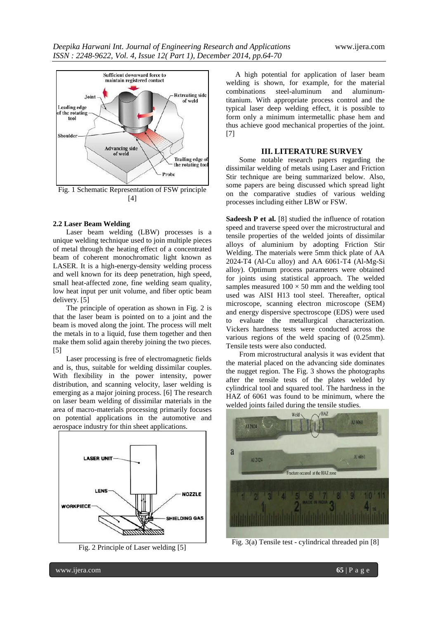

#### **2.2 Laser Beam Welding**

Laser beam welding (LBW) processes is a unique welding technique used to join multiple pieces of metal through the heating effect of a concentrated beam of coherent monochromatic light known as LASER. It is a high-energy-density welding process and well known for its deep penetration, high speed, small heat-affected zone, fine welding seam quality, low heat input per unit volume, and fiber optic beam delivery. [5]

The principle of operation as shown in Fig. 2 is that the laser beam is pointed on to a joint and the beam is moved along the joint. The process will melt the metals in to a liquid, fuse them together and then make them solid again thereby joining the two pieces. [5]

Laser processing is free of electromagnetic fields and is, thus, suitable for welding dissimilar couples. With flexibility in the power intensity, power distribution, and scanning velocity, laser welding is emerging as a major joining process. [6] The research on laser beam welding of dissimilar materials in the area of macro-materials processing primarily focuses on potential applications in the automotive and aerospace industry for thin sheet applications.



Fig. 2 Principle of Laser welding [5]

 A high potential for application of laser beam welding is shown, for example, for the material combinations steel-aluminum and aluminumtitanium. With appropriate process control and the typical laser deep welding effect, it is possible to form only a minimum intermetallic phase hem and thus achieve good mechanical properties of the joint. [7]

## **III. LITERATURE SURVEY**

Some notable research papers regarding the dissimilar welding of metals using Laser and Friction Stir technique are being summarized below. Also, some papers are being discussed which spread light on the comparative studies of various welding processes including either LBW or FSW.

**Sadeesh P et al.** [8] studied the influence of rotation speed and traverse speed over the microstructural and tensile properties of the welded joints of dissimilar alloys of aluminium by adopting Friction Stir Welding. The materials were 5mm thick plate of AA 2024-T4 (Al-Cu alloy) and AA 6061-T4 (Al-Mg-Si alloy). Optimum process parameters were obtained for joints using statistical approach. The welded samples measured  $100 \times 50$  mm and the welding tool used was AISI H13 tool steel. Thereafter, optical microscope, scanning electron microscope (SEM) and energy dispersive spectroscope (EDS) were used to evaluate the metallurgical characterization. Vickers hardness tests were conducted across the various regions of the weld spacing of (0.25mm). Tensile tests were also conducted.

From microstructural analysis it was evident that the material placed on the advancing side dominates the nugget region. The Fig. 3 shows the photographs after the tensile tests of the plates welded by cylindrical tool and squared tool. The hardness in the HAZ of 6061 was found to be minimum, where the welded joints failed during the tensile studies.



Fig. 3(a) Tensile test - cylindrical threaded pin [8]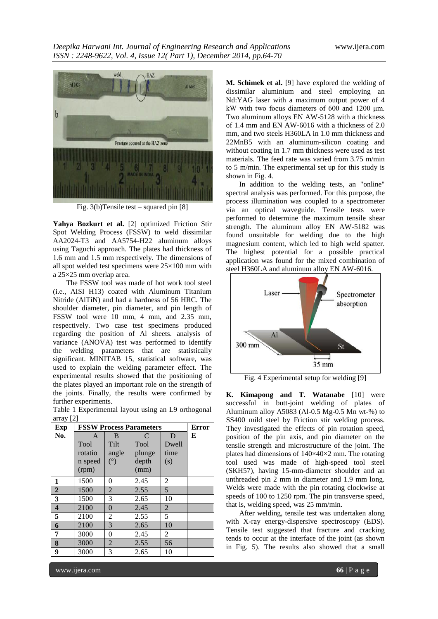

Fig. 3(b)Tensile test – squared pin [8]

Yahya Bozkurt et al. [2] optimized Friction Stir Spot Welding Process (FSSW) to weld dissimilar AA2024-T3 and AA5754-H22 aluminum alloys using Taguchi approach. The plates had thickness of 1.6 mm and 1.5 mm respectively. The dimensions of all spot welded test specimens were 25×100 mm with a 25×25 mm overlap area.

The FSSW tool was made of hot work tool steel (i.e., AISI H13) coated with Aluminum Titanium Nitride (AlTiN) and had a hardness of 56 HRC. The shoulder diameter, pin diameter, and pin length of FSSW tool were 10 mm, 4 mm, and 2.35 mm, respectively. Two case test specimens produced regarding the position of Al sheets. analysis of variance (ANOVA) test was performed to identify the welding parameters that are statistically significant. MINITAB 15, statistical software, was used to explain the welding parameter effect. The experimental results showed that the positioning of the plates played an important role on the strength of the joints. Finally, the results were confirmed by further experiments.

Table 1 Experimental layout using an L9 orthogonal array [2]

| Exp                     | <b>FSSW Process Parameters</b> | <b>Error</b>   |        |                |   |
|-------------------------|--------------------------------|----------------|--------|----------------|---|
| No.                     | A                              | B              | C      | D              | Е |
|                         | Tool                           | Tilt           | Tool   | Dwell          |   |
|                         | rotatio                        | angle          | plunge | time           |   |
|                         | n speed                        | $(^\circ)$     | depth  | (s)            |   |
|                         | (rpm)                          |                | (mm)   |                |   |
| 1                       | 1500                           | 0              | 2.45   | $\overline{c}$ |   |
| $\boldsymbol{2}$        | 1500                           | 2              | 2.55   | 5              |   |
| 3                       | 1500                           | 3              | 2.65   | 10             |   |
| $\overline{\mathbf{4}}$ | 2100                           | $\overline{0}$ | 2.45   | $\overline{2}$ |   |
| 5                       | 2100                           | 2              | 2.55   | 5              |   |
| 6                       | 2100                           | 3              | 2.65   | 10             |   |
| 7                       | 3000                           | 0              | 2.45   | 2              |   |
| 8                       | 3000                           | 2              | 2.55   | 56             |   |
| 9                       | 3000                           | 3              | 2.65   | 10             |   |

**M. Schimek et al.** [9] have explored the welding of dissimilar aluminium and steel employing an Nd:YAG laser with a maximum output power of 4 kW with two focus diameters of 600 and 1200 μm. Two aluminum alloys EN AW-5128 with a thickness of 1.4 mm and EN AW-6016 with a thickness of 2.0 mm, and two steels H360LA in 1.0 mm thickness and 22MnB5 with an aluminum-silicon coating and without coating in 1.7 mm thickness were used as test materials. The feed rate was varied from 3.75 m/min to 5 m/min. The experimental set up for this study is shown in Fig. 4.

In addition to the welding tests, an "online" spectral analysis was performed. For this purpose, the process illumination was coupled to a spectrometer via an optical waveguide. Tensile tests were performed to determine the maximum tensile shear strength. The aluminum alloy EN AW-5182 was found unsuitable for welding due to the high magnesium content, which led to high weld spatter. The highest potential for a possible practical application was found for the mixed combination of steel H360LA and aluminum alloy EN AW-6016.



Fig. 4 Experimental setup for welding [9]

**K. Kimapong and T. Watanabe** [10] were successful in butt-joint welding of plates of Aluminum alloy A5083 (Al-0.5 Mg-0.5 Mn wt-%) to SS400 mild steel by Friction stir welding process. They investigated the effects of pin rotation speed, position of the pin axis, and pin diameter on the tensile strength and microstructure of the joint. The plates had dimensions of 140×40×2 mm. The rotating tool used was made of high-speed tool steel (SKH57), having 15-mm-diameter shoulder and an unthreaded pin 2 mm in diameter and 1.9 mm long. Welds were made with the pin rotating clockwise at speeds of 100 to 1250 rpm. The pin transverse speed, that is, welding speed, was 25 mm/min.

After welding, tensile test was undertaken along with X-ray energy-dispersive spectroscopy (EDS). Tensile test suggested that fracture and cracking tends to occur at the interface of the joint (as shown in Fig. 5). The results also showed that a small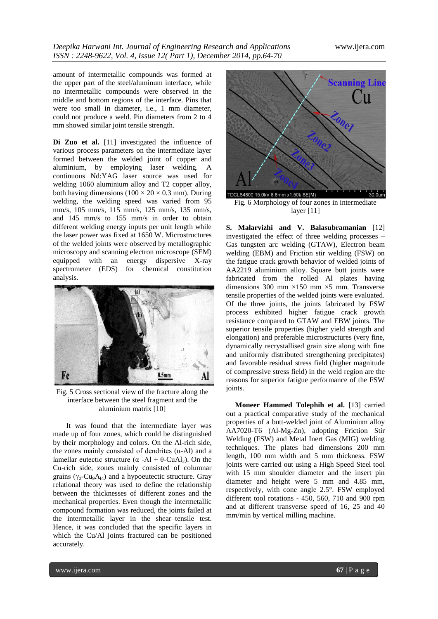amount of intermetallic compounds was formed at the upper part of the steel/aluminum interface, while no intermetallic compounds were observed in the middle and bottom regions of the interface. Pins that were too small in diameter, i.e., 1 mm diameter, could not produce a weld. Pin diameters from 2 to 4 mm showed similar joint tensile strength.

Di Zuo et al. [11] investigated the influence of various process parameters on the intermediate layer formed between the welded joint of copper and aluminium, by employing laser welding. A continuous Nd:YAG laser source was used for welding 1060 aluminium alloy and T2 copper alloy, both having dimensions ( $100 \times 20 \times 0.3$  mm). During welding, the welding speed was varied from 95 mm/s, 105 mm/s, 115 mm/s, 125 mm/s, 135 mm/s, and 145 mm/s to 155 mm/s in order to obtain different welding energy inputs per unit length while the laser power was fixed at 1650 W. Microstructures of the welded joints were observed by metallographic microscopy and scanning electron microscope (SEM) equipped with an energy dispersive X-ray spectrometer (EDS) for chemical constitution analysis.



Fig. 5 Cross sectional view of the fracture along the interface between the steel fragment and the aluminium matrix [10]

It was found that the intermediate layer was made up of four zones, which could be distinguished by their morphology and colors. On the Al-rich side, the zones mainly consisted of dendrites  $(\alpha - A)$  and a lamellar eutectic structure ( $\alpha$  -Al + θ-CuAl<sub>2</sub>). On the Cu-rich side, zones mainly consisted of columnar grains ( $\gamma_2$ -Cu<sub>9</sub>A<sub>14</sub>) and a hypoeutectic structure. Gray relational theory was used to define the relationship between the thicknesses of different zones and the mechanical properties. Even though the intermetallic compound formation was reduced, the joints failed at the intermetallic layer in the shear–tensile test. Hence, it was concluded that the specific layers in which the Cu/Al joints fractured can be positioned accurately.



**S. Malarvizhi and V. Balasubramanian** [12] investigated the effect of three welding processes – Gas tungsten arc welding (GTAW), Electron beam welding (EBM) and Friction stir welding (FSW) on the fatigue crack growth behavior of welded joints of AA2219 aluminium alloy. Square butt joints were fabricated from the rolled Al plates having dimensions 300 mm  $\times$ 150 mm  $\times$ 5 mm. Transverse tensile properties of the welded joints were evaluated. Of the three joints, the joints fabricated by FSW process exhibited higher fatigue crack growth resistance compared to GTAW and EBW joints. The superior tensile properties (higher yield strength and elongation) and preferable microstructures (very fine, dynamically recrystallised grain size along with fine and uniformly distributed strengthening precipitates) and favorable residual stress field (higher magnitude of compressive stress field) in the weld region are the reasons for superior fatigue performance of the FSW joints.

 **Moneer Hammed Tolephih et al.** [13] carried out a practical comparative study of the mechanical properties of a butt-welded joint of Aluminium alloy AA7020-T6 (Al-Mg-Zn), adopting Friction Stir Welding (FSW) and Metal Inert Gas (MIG) welding techniques. The plates had dimensions 200 mm length, 100 mm width and 5 mm thickness. FSW joints were carried out using a High Speed Steel tool with 15 mm shoulder diameter and the insert pin diameter and height were 5 mm and 4.85 mm, respectively, with cone angle 2.5°. FSW employed different tool rotations - 450, 560, 710 and 900 rpm and at different transverse speed of 16, 25 and 40 mm/min by vertical milling machine.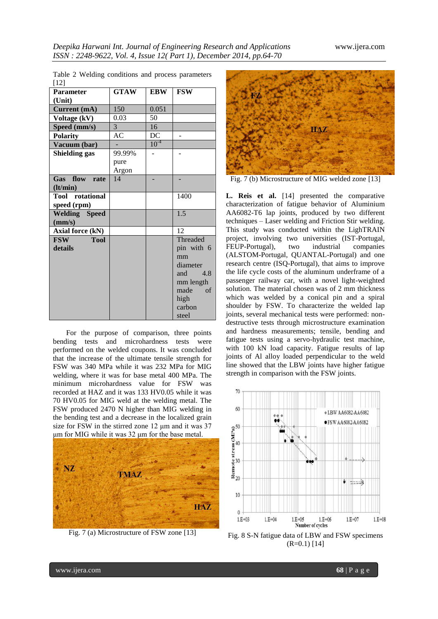| [12]                      |             |            |                    |
|---------------------------|-------------|------------|--------------------|
| <b>Parameter</b>          | <b>GTAW</b> | <b>EBW</b> | <b>FSW</b>         |
| (Unit)                    |             |            |                    |
| Current (mA)              | 150         | 0.051      |                    |
| Voltage (kV)              | 0.03        | 50         |                    |
| Speed (mm/s)              | 3           | 16         |                    |
| <b>Polarity</b>           | <b>AC</b>   | DC         |                    |
| Vacuum (bar)              |             | $10^{-4}$  |                    |
| <b>Shielding gas</b>      | 99.99%      |            |                    |
|                           | pure        |            |                    |
|                           | Argon       |            |                    |
| Gas flow rate             | 14          |            |                    |
| (lt/min)                  |             |            |                    |
| <b>Tool</b> rotational    |             |            | 1400               |
| speed (rpm)               |             |            |                    |
| <b>Welding</b> Speed      |             |            | 1.5                |
| (mm/s)                    |             |            |                    |
| <b>Axial force (kN)</b>   |             |            | 12                 |
| <b>Tool</b><br><b>FSW</b> |             |            | Threaded           |
| details                   |             |            | pin with 6         |
|                           |             |            | mm                 |
|                           |             |            | diameter           |
|                           |             |            | and $4.8$          |
|                           |             |            | mm length          |
|                           |             |            | made<br>$\alpha$ f |
|                           |             |            | high               |
|                           |             |            | carbon             |
|                           |             |            | steel              |

Table 2 Welding conditions and process parameters

For the purpose of comparison, three points bending tests and microhardness tests were performed on the welded coupons. It was concluded that the increase of the ultimate tensile strength for FSW was 340 MPa while it was 232 MPa for MIG welding, where it was for base metal 400 MPa. The minimum microhardness value for FSW was recorded at HAZ and it was 133 HV0.05 while it was 70 HV0.05 for MIG weld at the welding metal. The FSW produced 2470 N higher than MIG welding in the bending test and a decrease in the localized grain size for FSW in the stirred zone 12 μm and it was 37 μm for MIG while it was 32 μm for the base metal.



Fig. 7 (a) Microstructure of FSW zone [13]



Fig. 7 (b) Microstructure of MIG welded zone [13]

**L. Reis et al.** [14] presented the comparative characterization of fatigue behavior of Aluminium AA6082-T6 lap joints, produced by two different techniques – Laser welding and Friction Stir welding. This study was conducted within the LighTRAIN project, involving two universities (IST-Portugal, FEUP-Portugal), two industrial companies (ALSTOM-Portugal, QUANTAL-Portugal) and one research centre (ISQ-Portugal), that aims to improve the life cycle costs of the aluminum underframe of a passenger railway car, with a novel light-weighted solution. The material chosen was of 2 mm thickness which was welded by a conical pin and a spiral shoulder by FSW. To characterize the welded lap joints, several mechanical tests were performed: nondestructive tests through microstructure examination and hardness measurements; tensile, bending and fatigue tests using a servo-hydraulic test machine, with 100 kN load capacity. Fatigue results of lap joints of Al alloy loaded perpendicular to the weld line showed that the LBW joints have higher fatigue strength in comparison with the FSW joints.



Fig. 8 S-N fatigue data of LBW and FSW specimens  $(R=0.1)$  [14]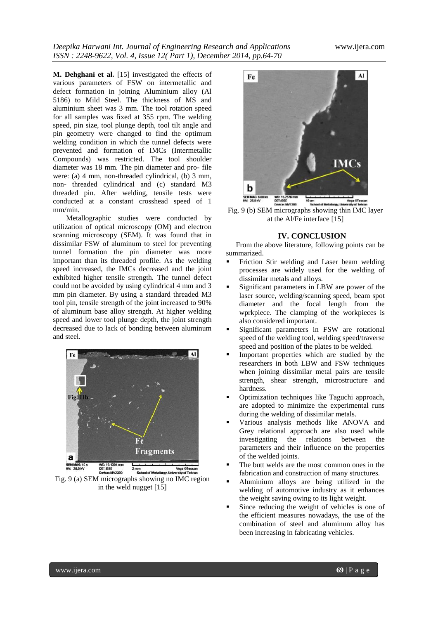**M. Dehghani et al.** [15] investigated the effects of various parameters of FSW on intermetallic and defect formation in joining Aluminium alloy (Al 5186) to Mild Steel. The thickness of MS and aluminium sheet was 3 mm. The tool rotation speed for all samples was fixed at 355 rpm. The welding speed, pin size, tool plunge depth, tool tilt angle and pin geometry were changed to find the optimum welding condition in which the tunnel defects were prevented and formation of IMCs (Intermetallic Compounds) was restricted. The tool shoulder diameter was 18 mm. The pin diameter and pro- file were: (a) 4 mm, non-threaded cylindrical, (b) 3 mm, non- threaded cylindrical and (c) standard M3 threaded pin. After welding, tensile tests were conducted at a constant crosshead speed of 1 mm/min.

Metallographic studies were conducted by utilization of optical microscopy (OM) and electron scanning microscopy (SEM). It was found that in dissimilar FSW of aluminum to steel for preventing tunnel formation the pin diameter was more important than its threaded profile. As the welding speed increased, the IMCs decreased and the joint exhibited higher tensile strength. The tunnel defect could not be avoided by using cylindrical 4 mm and 3 mm pin diameter. By using a standard threaded M3 tool pin, tensile strength of the joint increased to 90% of aluminum base alloy strength. At higher welding speed and lower tool plunge depth, the joint strength decreased due to lack of bonding between aluminum and steel.



Fig. 9 (a) SEM micrographs showing no IMC region in the weld nugget [15]



Fig. 9 (b) SEM micrographs showing thin IMC layer at the Al/Fe interface [15]

### **IV. CONCLUSION**

From the above literature, following points can be summarized.

- Friction Stir welding and Laser beam welding processes are widely used for the welding of dissimilar metals and alloys.
- Significant parameters in LBW are power of the laser source, welding/scanning speed, beam spot diameter and the focal length from the wprkpiece. The clamping of the workpieces is also considered important.
- Significant parameters in FSW are rotational speed of the welding tool, welding speed/traverse speed and position of the plates to be welded.
- Important properties which are studied by the researchers in both LBW and FSW techniques when joining dissimilar metal pairs are tensile strength, shear strength, microstructure and hardness.
- Optimization techniques like Taguchi approach, are adopted to minimize the experimental runs during the welding of dissimilar metals.
- Various analysis methods like ANOVA and Grey relational approach are also used while investigating the relations between the parameters and their influence on the properties of the welded joints.
- The butt welds are the most common ones in the fabrication and construction of many structures.
- Aluminium alloys are being utilized in the welding of automotive industry as it enhances the weight saving owing to its light weight.
- Since reducing the weight of vehicles is one of the efficient measures nowadays, the use of the combination of steel and aluminum alloy has been increasing in fabricating vehicles.